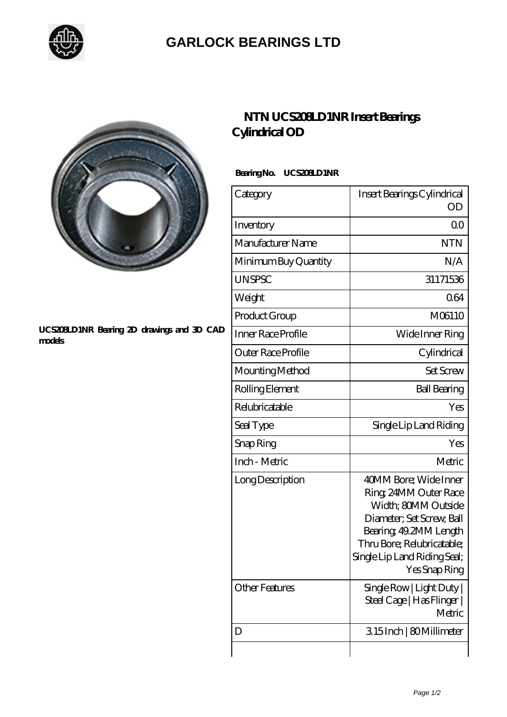

## **[GARLOCK BEARINGS LTD](https://m.letterstopriests.com)**



#### **[UCS208LD1NR Bearing 2D drawings and 3D CAD](https://m.letterstopriests.com/pic-189246.html) [models](https://m.letterstopriests.com/pic-189246.html)**

## **[NTN UCS208LD1NR Insert Bearings](https://m.letterstopriests.com/bb-189246-ntn-ucs208ld1nr-insert-bearings-cylindrical-od.html) [Cylindrical OD](https://m.letterstopriests.com/bb-189246-ntn-ucs208ld1nr-insert-bearings-cylindrical-od.html)**

### **Bearing No. UCS208LD1NR**

| Category              | Insert Bearings Cylindrical<br>OD                                                                                                                                                                           |
|-----------------------|-------------------------------------------------------------------------------------------------------------------------------------------------------------------------------------------------------------|
| Inventory             | 0 <sup>0</sup>                                                                                                                                                                                              |
| Manufacturer Name     | <b>NTN</b>                                                                                                                                                                                                  |
| Minimum Buy Quantity  | N/A                                                                                                                                                                                                         |
| <b>UNSPSC</b>         | 31171536                                                                                                                                                                                                    |
| Weight                | 064                                                                                                                                                                                                         |
| Product Group         | M06110                                                                                                                                                                                                      |
| Inner Race Profile    | Wide Inner Ring                                                                                                                                                                                             |
| Outer Race Profile    | Cylindrical                                                                                                                                                                                                 |
| Mounting Method       | <b>Set Screw</b>                                                                                                                                                                                            |
| Rolling Element       | <b>Ball Bearing</b>                                                                                                                                                                                         |
| Relubricatable        | Yes                                                                                                                                                                                                         |
| Seal Type             | Single Lip Land Riding                                                                                                                                                                                      |
| Snap Ring             | Yes                                                                                                                                                                                                         |
| Inch - Metric         | Metric                                                                                                                                                                                                      |
| Long Description      | 40MM Bore; Wide Inner<br>Ring, 24MM Outer Race<br>Width: 80MM Outside<br>Diameter; Set Screw, Ball<br>Bearing, 49.2MM Length<br>Thru Bore; Relubricatable;<br>Single Lip Land Riding Seal;<br>Yes Snap Ring |
| <b>Other Features</b> | Single Row   Light Duty  <br>Steel Cage   Has Flinger  <br>Metric                                                                                                                                           |
| D                     | 315Inch   80Millimeter                                                                                                                                                                                      |
|                       |                                                                                                                                                                                                             |